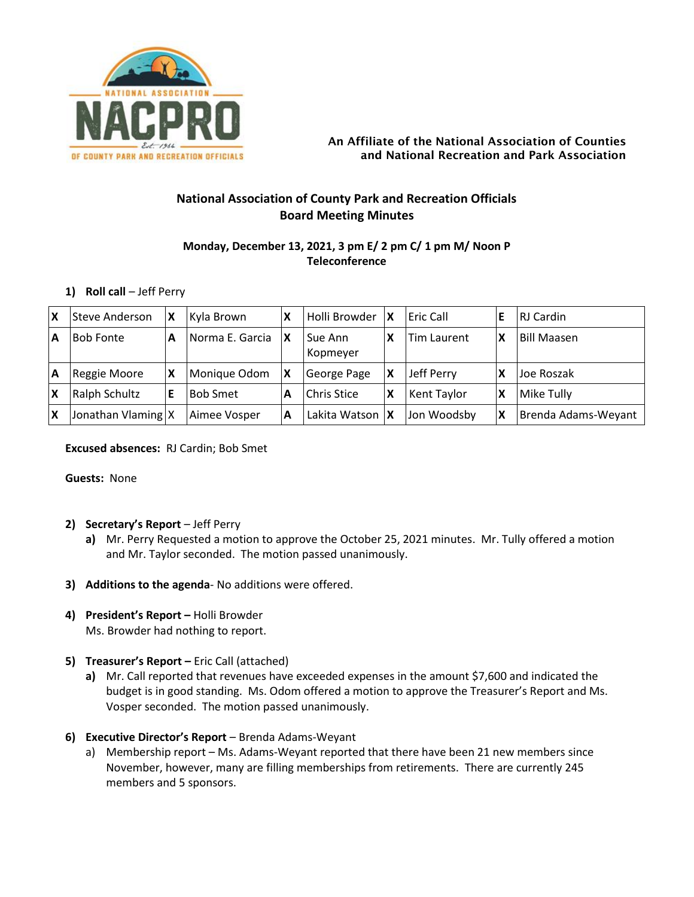

#### An Affiliate of the National Association of Counties and National Recreation and Park Association

# **National Association of County Park and Recreation Officials Board Meeting Minutes**

# **Monday, December 13, 2021, 3 pm E/ 2 pm C/ 1 pm M/ Noon P Teleconference**

### **1) Roll call** – Jeff Perry

| ΙX | Steve Anderson       | ΙX | Kyla Brown      | х  | Holli Browder       | $\boldsymbol{\mathsf{x}}$ | <b>Eric Call</b> |                           | RJ Cardin           |
|----|----------------------|----|-----------------|----|---------------------|---------------------------|------------------|---------------------------|---------------------|
| ΙA | <b>Bob Fonte</b>     | A  | Norma E. Garcia | 1X | Sue Ann<br>Kopmeyer |                           | Tim Laurent      | χ                         | <b>Bill Maasen</b>  |
| ΙA | Reggie Moore         | ΙX | Monique Odom    | ΙX | George Page         |                           | Jeff Perry       | Х                         | Uoe Roszak          |
| IX | Ralph Schultz        | ΙE | <b>Bob Smet</b> | А  | <b>Chris Stice</b>  | X                         | Kent Taylor      | χ                         | Mike Tully          |
| X  | Jonathan Vlaming   X |    | Aimee Vosper    | А  | Lakita Watson   X   |                           | lJon Woodsbv     | $\boldsymbol{\mathsf{x}}$ | Brenda Adams-Weyant |

#### **Excused absences:** RJ Cardin; Bob Smet

**Guests:** None

### **2) Secretary's Report** – Jeff Perry

- **a)** Mr. Perry Requested a motion to approve the October 25, 2021 minutes. Mr. Tully offered a motion and Mr. Taylor seconded. The motion passed unanimously.
- **3) Additions to the agenda** No additions were offered.
- **4) President's Report –** Holli Browder Ms. Browder had nothing to report.
- **5) Treasurer's Report –** Eric Call (attached)
	- **a)** Mr. Call reported that revenues have exceeded expenses in the amount \$7,600 and indicated the budget is in good standing. Ms. Odom offered a motion to approve the Treasurer's Report and Ms. Vosper seconded. The motion passed unanimously.

#### **6) Executive Director's Report** – Brenda Adams-Weyant

a) Membership report – Ms. Adams-Weyant reported that there have been 21 new members since November, however, many are filling memberships from retirements. There are currently 245 members and 5 sponsors.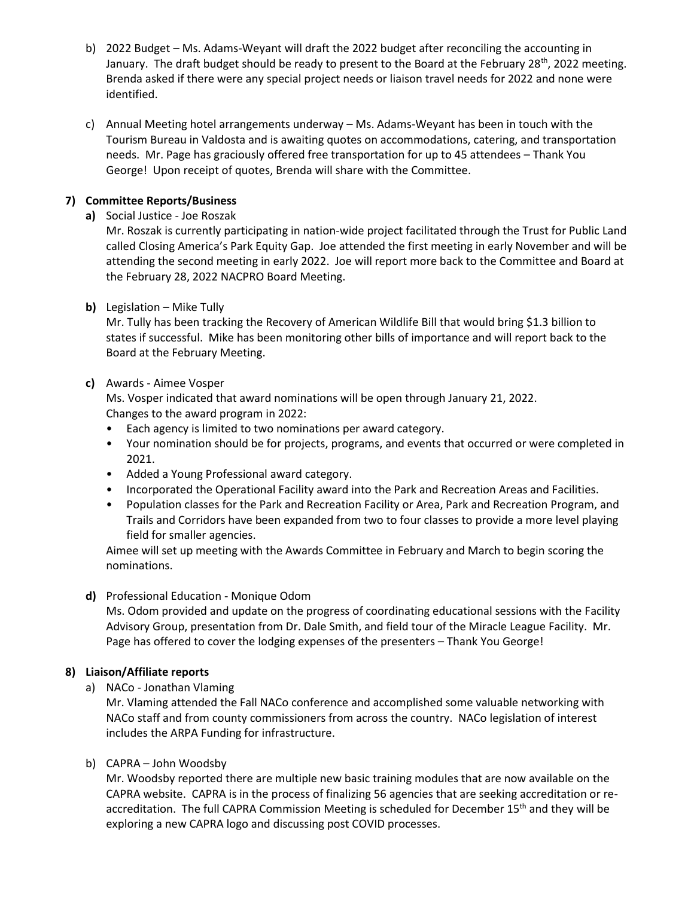- b) 2022 Budget Ms. Adams-Weyant will draft the 2022 budget after reconciling the accounting in January. The draft budget should be ready to present to the Board at the February 28<sup>th</sup>, 2022 meeting. Brenda asked if there were any special project needs or liaison travel needs for 2022 and none were identified.
- c) Annual Meeting hotel arrangements underway Ms. Adams-Weyant has been in touch with the Tourism Bureau in Valdosta and is awaiting quotes on accommodations, catering, and transportation needs. Mr. Page has graciously offered free transportation for up to 45 attendees – Thank You George! Upon receipt of quotes, Brenda will share with the Committee.

## **7) Committee Reports/Business**

**a)** Social Justice - Joe Roszak

Mr. Roszak is currently participating in nation-wide project facilitated through the Trust for Public Land called Closing America's Park Equity Gap. Joe attended the first meeting in early November and will be attending the second meeting in early 2022. Joe will report more back to the Committee and Board at the February 28, 2022 NACPRO Board Meeting.

**b)** Legislation – Mike Tully

Mr. Tully has been tracking the Recovery of American Wildlife Bill that would bring \$1.3 billion to states if successful. Mike has been monitoring other bills of importance and will report back to the Board at the February Meeting.

**c)** Awards - Aimee Vosper

Ms. Vosper indicated that award nominations will be open through January 21, 2022. Changes to the award program in 2022:

- Each agency is limited to two nominations per award category.
- Your nomination should be for projects, programs, and events that occurred or were completed in 2021.
- Added a Young Professional award category.
- Incorporated the Operational Facility award into the Park and Recreation Areas and Facilities.
- Population classes for the Park and Recreation Facility or Area, Park and Recreation Program, and Trails and Corridors have been expanded from two to four classes to provide a more level playing field for smaller agencies.

Aimee will set up meeting with the Awards Committee in February and March to begin scoring the nominations.

### **d)** Professional Education - Monique Odom

Ms. Odom provided and update on the progress of coordinating educational sessions with the Facility Advisory Group, presentation from Dr. Dale Smith, and field tour of the Miracle League Facility. Mr. Page has offered to cover the lodging expenses of the presenters – Thank You George!

### **8) Liaison/Affiliate reports**

a) NACo - Jonathan Vlaming

Mr. Vlaming attended the Fall NACo conference and accomplished some valuable networking with NACo staff and from county commissioners from across the country. NACo legislation of interest includes the ARPA Funding for infrastructure.

### b) CAPRA – John Woodsby

Mr. Woodsby reported there are multiple new basic training modules that are now available on the CAPRA website. CAPRA is in the process of finalizing 56 agencies that are seeking accreditation or reaccreditation. The full CAPRA Commission Meeting is scheduled for December 15<sup>th</sup> and they will be exploring a new CAPRA logo and discussing post COVID processes.